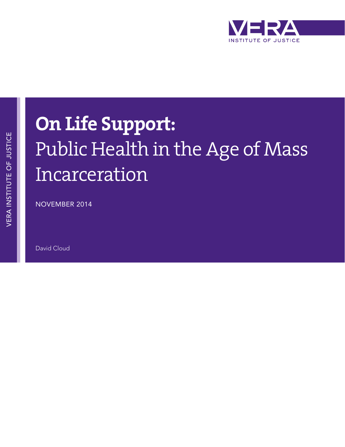

# **On Life Support:** Public Health in the Age of Mass Incarceration

NOVEMBER 2014

David Cloud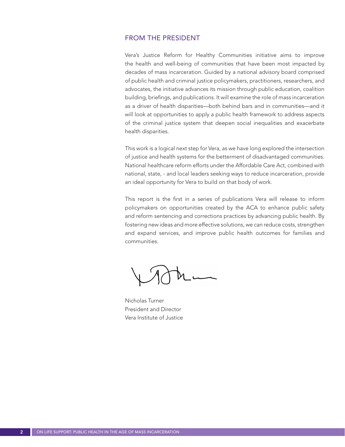#### FROM THE PRESIDENT

Vera's Justice Reform for Healthy Communities initiative aims to improve the health and well-being of communities that have been most impacted by decades of mass incarceration. Guided by a national advisory board comprised of public health and criminal justice policymakers, practitioners, researchers, and advocates, the initiative advances its mission through public education, coalition building, briefings, and publications. It will examine the role of mass incarceration as a driver of health disparities—both behind bars and in communities—and it will look at opportunities to apply a public health framework to address aspects of the criminal justice system that deepen social inequalities and exacerbate health disparities.

This work is a logical next step for Vera, as we have long explored the intersection of justice and health systems for the betterment of disadvantaged communities. National healthcare reform efforts under the Affordable Care Act, combined with national, state, - and local leaders seeking ways to reduce incarceration, provide an ideal opportunity for Vera to build on that body of work.

This report is the first in a series of publications Vera will release to inform policymakers on opportunities created by the ACA to enhance public safety and reform sentencing and corrections practices by advancing public health. By fostering new ideas and more effective solutions, we can reduce costs, strengthen and expand services, and improve public health outcomes for families and communities.

Nicholas Turner President and Director Vera Institute of Justice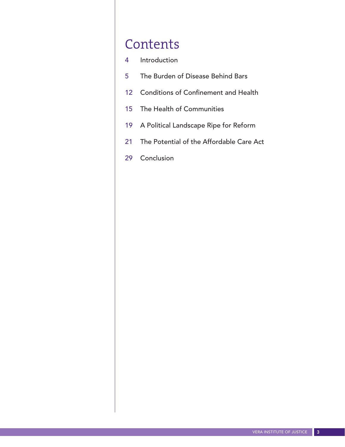## **Contents**

- Introduction
- The Burden of Disease Behind Bars
- Conditions of Confinement and Health
- The Health of Communities
- A Political Landscape Ripe for Reform
- The Potential of the Affordable Care Act
- Conclusion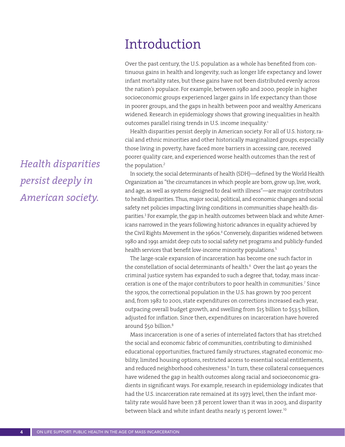### Introduction

Over the past century, the U.S. population as a whole has benefited from continuous gains in health and longevity, such as longer life expectancy and lower infant mortality rates, but these gains have not been distributed evenly across the nation's populace. For example, between 1980 and 2000, people in higher socioeconomic groups experienced larger gains in life expectancy than those in poorer groups, and the gaps in health between poor and wealthy Americans widened. Research in epidemiology shows that growing inequalities in health outcomes parallel rising trends in U.S. income inequality.<sup>1</sup>

Health disparities persist deeply in American society. For all of U.S. history, racial and ethnic minorities and other historically marginalized groups, especially those living in poverty, have faced more barriers in accessing care, received poorer quality care, and experienced worse health outcomes than the rest of the population.<sup>2</sup>

In society, the social determinants of health (SDH)—defined by the World Health Organization as "the circumstances in which people are born, grow up, live, work, and age, as well as systems designed to deal with illness"—are major contributors to health disparities. Thus, major social, political, and economic changes and social safety net policies impacting living conditions in communities shape health disparities.<sup>3</sup> For example, the gap in health outcomes between black and white Americans narrowed in the years following historic advances in equality achieved by the Civil Rights Movement in the 1960s.<sup>4</sup> Conversely, disparities widened between 1980 and 1991 amidst deep cuts to social safety net programs and publicly-funded health services that benefit low-income minority populations.<sup>5</sup>

The large-scale expansion of incarceration has become one such factor in the constellation of social determinants of health.<sup>6</sup> Over the last 40 years the criminal justice system has expanded to such a degree that, today, mass incarceration is one of the major contributors to poor health in communities.<sup>7</sup> Since the 1970s, the correctional population in the U.S. has grown by 700 percent and, from 1982 to 2001, state expenditures on corrections increased each year, outpacing overall budget growth, and swelling from \$15 billion to \$53.5 billion, adjusted for inflation. Since then, expenditures on incarceration have hovered around \$50 billion.<sup>8</sup>

Mass incarceration is one of a series of interrelated factors that has stretched the social and economic fabric of communities, contributing to diminished educational opportunities, fractured family structures, stagnated economic mobility, limited housing options, restricted access to essential social entitlements, and reduced neighborhood cohesiveness.<sup>9</sup> In turn, these collateral consequences have widened the gap in health outcomes along racial and socioeconomic gradients in significant ways. For example, research in epidemiology indicates that had the U.S. incarceration rate remained at its 1973 level, then the infant mortality rate would have been 7.8 percent lower than it was in 2003, and disparity between black and white infant deaths nearly 15 percent lower.<sup>10</sup>

*Health disparities persist deeply in American society.*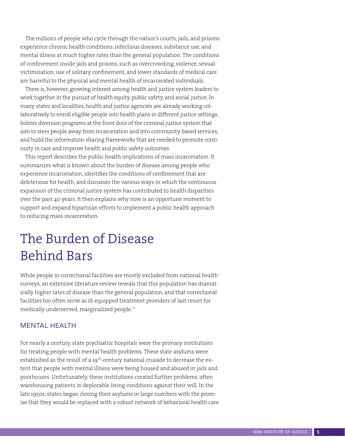The millions of people who cycle through the nation's courts, jails, and prisons experience chronic health conditions, infectious diseases, substance use, and mental illness at much higher rates than the general population. The conditions of confinement inside jails and prisons, such as overcrowding, violence, sexual victimization, use of solitary confinement, and lower standards of medical care are harmful to the physical and mental health of incarcerated individuals.

There is, however, growing interest among health and justice system leaders to work together in the pursuit of health equity, public safety, and social justice. In many states and localities, health and justice agencies are already working collaboratively to enroll eligible people into health plans in different justice settings, bolster diversion programs at the front door of the criminal justice system that aim to steer people away from incarceration and into community-based services, and build the information-sharing frameworks that are needed to promote continuity in care and improve health and public safety outcomes.

This report describes the public health implications of mass incarceration. It summarizes what is known about the burden of disease among people who experience incarceration, identifies the conditions of confinement that are deleterious for health, and discusses the various ways in which the continuous expansion of the criminal justice system has contributed to health disparities over the past 40 years. It then explains why now is an opportune moment to support and expand bipartisan efforts to implement a public health approach to reducing mass incarceration.

# The Burden of Disease Behind Bars

While people in correctional facilities are mostly excluded from national health surveys, an extensive literature review reveals that this population has dramatically higher rates of disease than the general population, and that correctional facilities too often serve as ill-equipped treatment providers of last resort for medically underserved, marginalized people.<sup>11</sup>

#### MENTAL HEALTH

For nearly a century, state psychiatric hospitals were the primary institutions for treating people with mental health problems. These state asylums were established as the result of a 19<sup>th</sup>-century national crusade to decrease the extent that people with mental illness were being housed and abused in jails and poorhouses. Unfortunately, these institutions created further problems, often warehousing patients in deplorable living conditions against their will. In the late 1950s, states began closing their asylums in large numbers with the promise that they would be replaced with a robust network of behavioral health care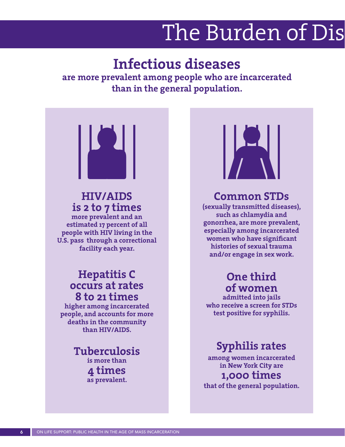# The Burden of Dis

# **Infectious diseases**

**are more prevalent among people who are incarcerated than in the general population.** 



### **HIV/AIDS is 2 to 7 times**

**more prevalent and an estimated 17 percent of all people with HIV living in the U.S. pass through a correctional facility each year.**

### **Hepatitis C occurs at rates 8 to 21 times**

**higher among incarcerated people, and accounts for more deaths in the community than HIV/AIDS.**

#### **Tuberculosis is more than 4 times as prevalent.**



### **Common STDs**

**(sexually transmitted diseases), such as chlamydia and gonorrhea, are more prevalent, especially among incarcerated women who have significant histories of sexual trauma and/or engage in sex work.**

### **One third of women**

**admitted into jails who receive a screen for STDs test positive for syphilis.**

### **Syphilis rates**

**among women incarcerated in New York City are 1,000 times that of the general population.**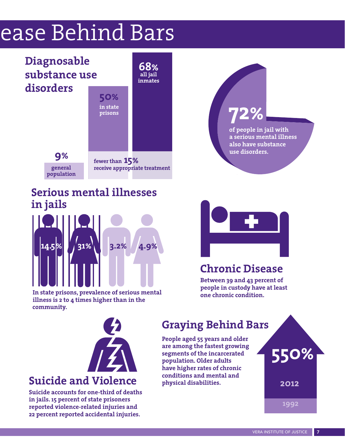# ease Behind Bars



### **Serious mental illnesses in jails**



**In state prisons, prevalence of serious mental illness is 2 to 4 times higher than in the community.**



**72%**

**of people in jail with a serious mental illness also have substance use disorders.**

### **Chronic Disease**

**Between 39 and 43 percent of people in custody have at least one chronic condition.**



**Suicide accounts for one-third of deaths in jails. 15 percent of state prisoners reported violence-related injuries and 22 percent reported accidental injuries.**

### **Graying Behind Bars**

**People aged 55 years and older are among the fastest growing segments of the incarcerated population. Older adults have higher rates of chronic conditions and mental and physical disabilities.**



**2012**

**1992**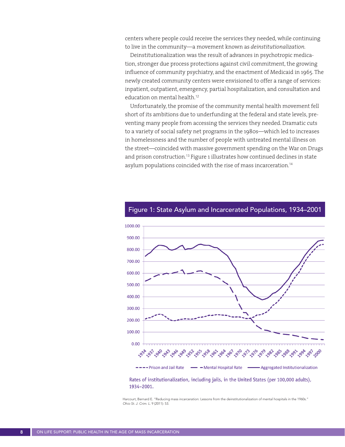centers where people could receive the services they needed, while continuing to live in the community—a movement known as *deinstitutionalization.* 

Deinstitutionalization was the result of advances in psychotropic medication, stronger due process protections against civil commitment, the growing influence of community psychiatry, and the enactment of Medicaid in 1965. The newly created community centers were envisioned to offer a range of services: inpatient, outpatient, emergency, partial hospitalization, and consultation and education on mental health.<sup>12</sup>

Unfortunately, the promise of the community mental health movement fell short of its ambitions due to underfunding at the federal and state levels, preventing many people from accessing the services they needed. Dramatic cuts to a variety of social safety net programs in the 1980s—which led to increases in homelessness and the number of people with untreated mental illness on the street—coincided with massive government spending on the War on Drugs and prison construction.<sup>13</sup> Figure 1 illustrates how continued declines in state asylum populations coincided with the rise of mass incarceration.<sup>14</sup>



#### Figure 1: State Asylum and Incarcerated Populations, 1934–2001

1934-2001.

Harcourt, Bernard E. "Reducing mass incarceration: Lessons from the deinstitutionalization of mental hospitals in the 1960s." *Ohio St. J. Crim. L.* 9 (2011): 53.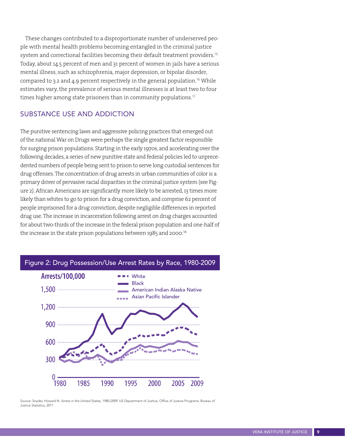These changes contributed to a disproportionate number of underserved people with mental health problems becoming entangled in the criminal justice system and correctional facilities becoming their default treatment providers.<sup>15</sup> Today, about 14.5 percent of men and 31 percent of women in jails have a serious mental illness, such as schizophrenia, major depression, or bipolar disorder, compared to 3.2 and 4.9 percent respectively in the general population.<sup>16</sup> While estimates vary, the prevalence of serious mental illnesses is at least two to four times higher among state prisoners than in community populations.<sup>17</sup>

#### SUBSTANCE USE AND ADDICTION

The punitive sentencing laws and aggressive policing practices that emerged out of the national War on Drugs were perhaps the single greatest factor responsible for surging prison populations. Starting in the early 1970s, and accelerating over the following decades, a series of new punitive state and federal policies led to unprecedented numbers of people being sent to prison to serve long custodial sentences for drug offenses. The concentration of drug arrests in urban communities of color is a primary driver of pervasive racial disparities in the criminal justice system (see Figure 2). African Americans are significantly more likely to be arrested, 13 times more likely than whites to go to prison for a drug conviction, and comprise 62 percent of people imprisoned for a drug conviction, despite negligible differences in reported drug use. The increase in incarceration following arrest on drug charges accounted for about two-thirds of the increase in the federal prison population and one-half of the increase in the state prison populations between 1985 and 2000.<sup>18</sup>



Source: Snyder, Howard N. *Arrest in the United States, 1980-2009.* US Department of Justice, Office of Justice Programs, Bureau of Justice Statistics, 2011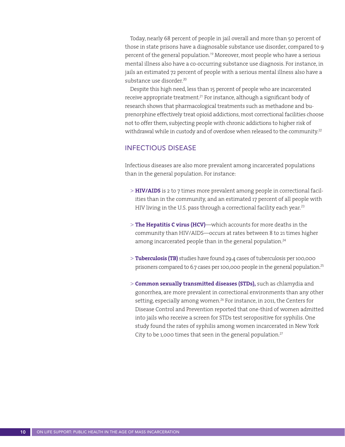Today, nearly 68 percent of people in jail overall and more than 50 percent of those in state prisons have a diagnosable substance use disorder, compared to 9 percent of the general population.<sup>19</sup> Moreover, most people who have a serious mental illness also have a co-occurring substance use diagnosis. For instance, in jails an estimated 72 percent of people with a serious mental illness also have a substance use disorder.<sup>20</sup>

Despite this high need, less than 15 percent of people who are incarcerated receive appropriate treatment.<sup>21</sup> For instance, although a significant body of research shows that pharmacological treatments such as methadone and buprenorphine effectively treat opioid addictions, most correctional facilities choose not to offer them, subjecting people with chronic addictions to higher risk of withdrawal while in custody and of overdose when released to the community.<sup>22</sup>

#### INFECTIOUS DISEASE

Infectious diseases are also more prevalent among incarcerated populations than in the general population. For instance:

- > **HIV/AIDS** is 2 to 7 times more prevalent among people in correctional facilities than in the community, and an estimated 17 percent of all people with HIV living in the U.S. pass through a correctional facility each year.<sup>23</sup>
- > **The Hepatitis C virus (HCV)**—which accounts for more deaths in the community than HIV/AIDS—occurs at rates between 8 to 21 times higher among incarcerated people than in the general population.<sup>24</sup>
- > **Tuberculosis (TB)** studies have found 29.4 cases of tuberculosis per 100,000 prisoners compared to 6.7 cases per 100,000 people in the general population.<sup>25</sup>
- > **Common sexually transmitted diseases (STDs),** such as chlamydia and gonorrhea, are more prevalent in correctional environments than any other setting, especially among women.<sup>26</sup> For instance, in 2011, the Centers for Disease Control and Prevention reported that one-third of women admitted into jails who receive a screen for STDs test seropositive for syphilis. One study found the rates of syphilis among women incarcerated in New York City to be 1,000 times that seen in the general population.<sup>27</sup>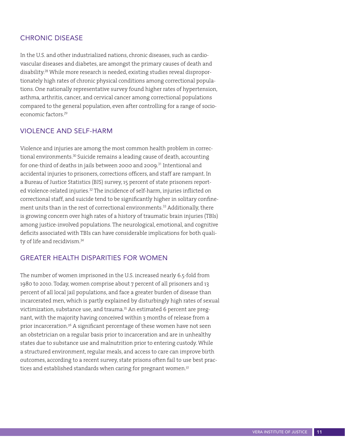#### CHRONIC DISEASE

In the U.S. and other industrialized nations, chronic diseases, such as cardiovascular diseases and diabetes, are amongst the primary causes of death and disability.<sup>28</sup> While more research is needed, existing studies reveal disproportionately high rates of chronic physical conditions among correctional populations. One nationally representative survey found higher rates of hypertension, asthma, arthritis, cancer, and cervical cancer among correctional populations compared to the general population, even after controlling for a range of socioeconomic factors.<sup>29</sup>

#### VIOLENCE AND SELF-HARM

Violence and injuries are among the most common health problem in correctional environments.<sup>30</sup> Suicide remains a leading cause of death, accounting for one-third of deaths in jails between 2000 and 2009.<sup>31</sup> Intentional and accidental injuries to prisoners, corrections officers, and staff are rampant. In a Bureau of Justice Statistics (BJS) survey, 15 percent of state prisoners reported violence-related injuries.<sup>32</sup> The incidence of self-harm, injuries inflicted on correctional staff, and suicide tend to be significantly higher in solitary confinement units than in the rest of correctional environments.<sup>33</sup> Additionally, there is growing concern over high rates of a history of traumatic brain injuries (TBIs) among justice-involved populations. The neurological, emotional, and cognitive deficits associated with TBIs can have considerable implications for both quality of life and recidivism.<sup>34</sup>

#### GREATER HEALTH DISPARITIES FOR WOMEN

The number of women imprisoned in the U.S. increased nearly 6.5-fold from 1980 to 2010. Today, women comprise about 7 percent of all prisoners and 13 percent of all local jail populations, and face a greater burden of disease than incarcerated men, which is partly explained by disturbingly high rates of sexual victimization, substance use, and trauma.<sup>35</sup> An estimated 6 percent are pregnant, with the majority having conceived within 3 months of release from a prior incarceration.36 A significant percentage of these women have not seen an obstetrician on a regular basis prior to incarceration and are in unhealthy states due to substance use and malnutrition prior to entering custody. While a structured environment, regular meals, and access to care can improve birth outcomes, according to a recent survey, state prisons often fail to use best practices and established standards when caring for pregnant women.<sup>37</sup>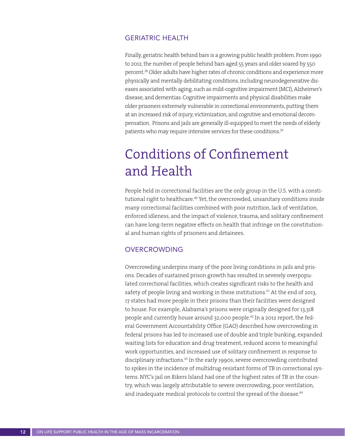#### GERIATRIC HEALTH

Finally, geriatric health behind bars is a growing public health problem. From 1990 to 2012, the number of people behind bars aged 55 years and older soared by 550 percent.<sup>38</sup> Older adults have higher rates of chronic conditions and experience more physically and mentally debilitating conditions, including neurodegenerative diseases associated with aging, such as mild-cognitive impairment (MCI), Alzheimer's disease, and dementias. Cognitive impairments and physical disabilities make older prisoners extremely vulnerable in correctional environments, putting them at an increased risk of injury, victimization, and cognitive and emotional decompensation. Prisons and jails are generally ill-equipped to meet the needs of elderly patients who may require intensive services for these conditions.<sup>39</sup>

# Conditions of Confinement and Health

People held in correctional facilities are the only group in the U.S. with a constitutional right to healthcare.<sup>40</sup> Yet, the overcrowded, unsanitary conditions inside many correctional facilities combined with poor nutrition, lack of ventilation, enforced idleness, and the impact of violence, trauma, and solitary confinement can have long-term negative effects on health that infringe on the constitutional and human rights of prisoners and detainees.

#### OVERCROWDING

Overcrowding underpins many of the poor living conditions in jails and prisons. Decades of sustained prison growth has resulted in severely overpopulated correctional facilities, which creates significant risks to the health and safety of people living and working in these institutions.<sup>41</sup> At the end of 2013, 17 states had more people in their prisons than their facilities were designed to house. For example, Alabama's prisons were originally designed for 13,318 people and currently house around 32,000 people.<sup>42</sup> In a 2012 report, the federal Government Accountability Office (GAO) described how overcrowding in federal prisons has led to increased use of double and triple bunking, expanded waiting lists for education and drug treatment, reduced access to meaningful work opportunities, and increased use of solitary confinement in response to disciplinary infractions.<sup>43</sup> In the early 1990s, severe overcrowding contributed to spikes in the incidence of multidrug-resistant forms of TB in correctional systems. NYC's jail on Rikers Island had one of the highest rates of TB in the country, which was largely attributable to severe overcrowding, poor ventilation, and inadequate medical protocols to control the spread of the disease.<sup>44</sup>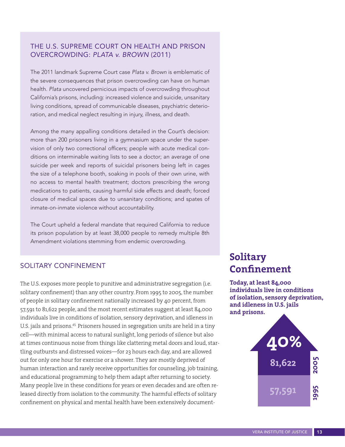#### THE U.S. SUPREME COURT ON HEALTH AND PRISON OVERCROWDING: *PLATA v. BROWN* (2011)

The 2011 landmark Supreme Court case *Plata v. Brown* is emblematic of the severe consequences that prison overcrowding can have on human health. *Plata* uncovered pernicious impacts of overcrowding throughout California's prisons, including: increased violence and suicide, unsanitary living conditions, spread of communicable diseases, psychiatric deterioration, and medical neglect resulting in injury, illness, and death.

Among the many appalling conditions detailed in the Court's decision: more than 200 prisoners living in a gymnasium space under the supervision of only two correctional officers; people with acute medical conditions on interminable waiting lists to see a doctor; an average of one suicide per week and reports of suicidal prisoners being left in cages the size of a telephone booth, soaking in pools of their own urine, with no access to mental health treatment; doctors prescribing the wrong medications to patients, causing harmful side effects and death; forced closure of medical spaces due to unsanitary conditions; and spates of inmate-on-inmate violence without accountability.

The Court upheld a federal mandate that required California to reduce its prison population by at least 38,000 people to remedy multiple 8th Amendment violations stemming from endemic overcrowding.

#### SOLITARY CONFINEMENT

The U.S. exposes more people to punitive and administrative segregation (i.e. solitary confinement) than any other country. From 1995 to 2005, the number of people in solitary confinement nationally increased by 40 percent, from 57,591 to 81,622 people, and the most recent estimates suggest at least 84,000 individuals live in conditions of isolation, sensory deprivation, and idleness in U.S. jails and prisons.<sup>45</sup> Prisoners housed in segregation units are held in a tiny cell—with minimal access to natural sunlight, long periods of silence but also at times continuous noise from things like clattering metal doors and loud, startling outbursts and distressed voices—for 23 hours each day, and are allowed out for only one hour for exercise or a shower. They are mostly deprived of human interaction and rarely receive opportunities for counseling, job training, and educational programming to help them adapt after returning to society. Many people live in these conditions for years or even decades and are often released directly from isolation to the community. The harmful effects of solitary confinement on physical and mental health have been extensively document-

### **Solitary Confinement**

**Today, at least 84,000 individuals live in conditions of isolation, sensory deprivation, and idleness in U.S. jails and prisons.**

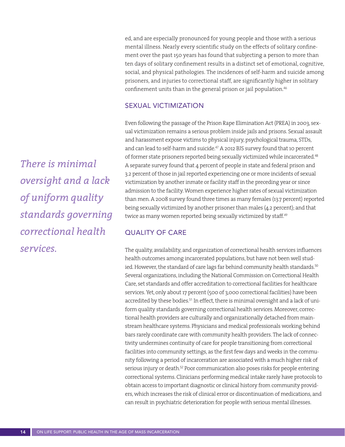ed, and are especially pronounced for young people and those with a serious mental illness. Nearly every scientific study on the effects of solitary confinement over the past 150 years has found that subjecting a person to more than ten days of solitary confinement results in a distinct set of emotional, cognitive, social, and physical pathologies. The incidences of self-harm and suicide among prisoners, and injuries to correctional staff, are significantly higher in solitary confinement units than in the general prison or jail population.<sup>46</sup>

#### SEXUAL VICTIMIZATION

Even following the passage of the Prison Rape Elimination Act (PREA) in 2003, sexual victimization remains a serious problem inside jails and prisons. Sexual assault and harassment expose victims to physical injury, psychological trauma, STDs, and can lead to self-harm and suicide.<sup>47</sup> A 2012 BJS survey found that 10 percent of former state prisoners reported being sexually victimized while incarcerated.<sup>48</sup> A separate survey found that 4 percent of people in state and federal prison and 3.2 percent of those in jail reported experiencing one or more incidents of sexual victimization by another inmate or facility staff in the preceding year or since admission to the facility. Women experience higher rates of sexual victimization than men. A 2008 survey found three times as many females (13.7 percent) reported being sexually victimized by another prisoner than males (4.2 percent); and that twice as many women reported being sexually victimized by staff.<sup>49</sup>

#### QUALITY OF CARE

The quality, availability, and organization of correctional health services influences health outcomes among incarcerated populations, but have not been well studied. However, the standard of care lags far behind community health standards.<sup>50</sup> Several organizations, including the National Commission on Correctional Health Care, set standards and offer accreditation to correctional facilities for healthcare services. Yet, only about 17 percent (500 of 3,000 correctional facilities) have been accredited by these bodies.<sup>51</sup> In effect, there is minimal oversight and a lack of uniform quality standards governing correctional health services. Moreover, correctional health providers are culturally and organizationally detached from mainstream healthcare systems. Physicians and medical professionals working behind bars rarely coordinate care with community health providers. The lack of connectivity undermines continuity of care for people transitioning from correctional facilities into community settings, as the first few days and weeks in the community following a period of incarceration are associated with a much higher risk of serious injury or death.<sup>52</sup> Poor communication also poses risks for people entering correctional systems. Clinicians performing medical intake rarely have protocols to obtain access to important diagnostic or clinical history from community providers, which increases the risk of clinical error or discontinuation of medications, and can result in psychiatric deterioration for people with serious mental illnesses.

*There is minimal oversight and a lack of uniform quality standards governing correctional health services.*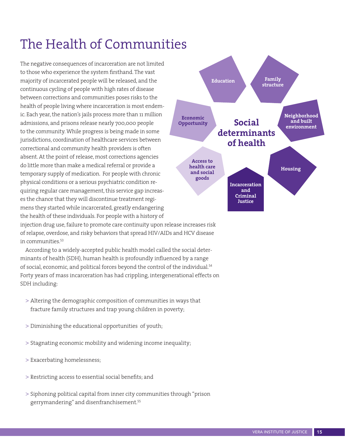# The Health of Communities

The negative consequences of incarceration are not limited to those who experience the system firsthand. The vast majority of incarcerated people will be released, and the continuous cycling of people with high rates of disease between corrections and communities poses risks to the health of people living where incarceration is most endemic. Each year, the nation's jails process more than 11 million admissions, and prisons release nearly 700,000 people to the community. While progress is being made in some jurisdictions, coordination of healthcare services between correctional and community health providers is often absent. At the point of release, most corrections agencies do little more than make a medical referral or provide a temporary supply of medication. For people with chronic physical conditions or a serious psychiatric condition requiring regular care management, this service gap increases the chance that they will discontinue treatment regimens they started while incarcerated, greatly endangering the health of these individuals. For people with a history of

injection drug use, failure to promote care continuity upon release increases risk of relapse, overdose, and risky behaviors that spread HIV/AIDs and HCV disease in communities.<sup>53</sup>

According to a widely-accepted public health model called the social determinants of health (SDH), human health is profoundly influenced by a range of social, economic, and political forces beyond the control of the individual.<sup>54</sup> Forty years of mass incarceration has had crippling, intergenerational effects on SDH including:

- > Altering the demographic composition of communities in ways that fracture family structures and trap young children in poverty;
- > Diminishing the educational opportunities of youth;
- > Stagnating economic mobility and widening income inequality;
- > Exacerbating homelessness;
- > Restricting access to essential social benefits; and
- > Siphoning political capital from inner city communities through "prison gerrymandering" and disenfranchisement.<sup>55</sup>

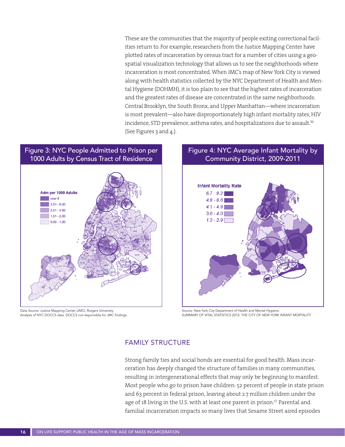These are the communities that the majority of people exiting correctional facilities return to. For example, researchers from the Justice Mapping Center have plotted rates of incarceration by census tract for a number of cities using a geospatial visualization technology that allows us to see the neighborhoods where incarceration is most concentrated. When JMC's map of New York City is viewed along with health statistics collected by the NYC Department of Health and Mental Hygiene (DOHMH), it is too plain to see that the highest rates of incarceration and the greatest rates of disease are concentrated in the same neighborhoods. Central Brooklyn, the South Bronx, and Upper Manhattan—where incarceration is most prevalent—also have disproportionately high infant mortality rates, HIV incidence, STD prevalence, asthma rates, and hospitalizations due to assault.<sup>56</sup> (See Figures 3 and 4.).

#### Figure 3: NYC People Admitted to Prison per 1000 Adults by Census Tract of Residence



Data Source: Justice Mapping Center (JMC), Rutgers University Analysis of NYC DOCCS data. DOCCS not responsible for JMC findings.



Source: New York City Department of Health and Mental Hygiene. SUMMARY OF VITAL STATISTICS 2012: THE CITY OF NEW YORK INFANT MORTALITY

#### FAMILY STRUCTURE

Strong family ties and social bonds are essential for good health. Mass incarceration has deeply changed the structure of families in many communities, resulting in intergenerational effects that may only be beginning to manifest. Most people who go to prison have children: 52 percent of people in state prison and 63 percent in federal prison, leaving about 2.7 million children under the age of 18 living in the U.S. with at least one parent in prison.<sup>57</sup> Parental and familial incarceration impacts so many lives that Sesame Street aired episodes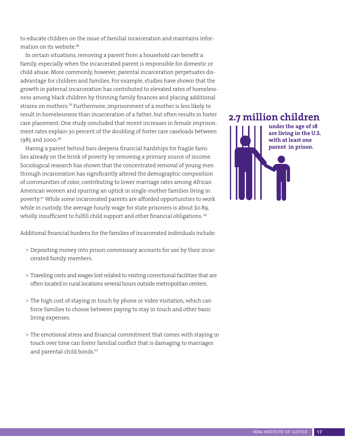to educate children on the issue of familial incarceration and maintains information on its website  $58$ 

In certain situations, removing a parent from a household can benefit a family, especially when the incarcerated parent is responsible for domestic or child abuse. More commonly, however, parental incarceration perpetuates disadvantage for children and families. For example, studies have shown that the growth in paternal incarceration has contributed to elevated rates of homelessness among black children by thinning family finances and placing additional strains on mothers.<sup>59</sup> Furthermore, imprisonment of a mother is less likely to result in homelessness than incarceration of a father, but often results in foster care placement. One study concluded that recent increases in female imprisonment rates explain 30 percent of the doubling of foster care caseloads between 1985 and 2000.<sup>60</sup>

Having a parent behind bars deepens financial hardships for fragile families already on the brink of poverty by removing a primary source of income. Sociological research has shown that the concentrated removal of young men through incarceration has significantly altered the demographic composition of communities of color, contributing to lower marriage rates among African American women and spurring an uptick in single-mother families living in poverty.<sup>61</sup> While some incarcerated parents are afforded opportunities to work while in custody, the average hourly wage for state prisoners is about \$0.89, wholly insufficient to fulfill child support and other financial obligations. <sup>62</sup>

Additional financial burdens for the families of incarcerated individuals include:

- > Depositing money into prison commissary accounts for use by their incarcerated family members.
- > Traveling costs and wages lost related to visiting correctional facilities that are often located in rural locations several hours outside metropolitan centers.
- > The high cost of staying in touch by phone or video visitation, which can force families to choose between paying to stay in touch and other basic living expenses.
- > The emotional stress and financial commitment that comes with staying in touch over time can foster familial conflict that is damaging to marriages and parental-child bonds.<sup>63</sup>

### **2.7 million children**

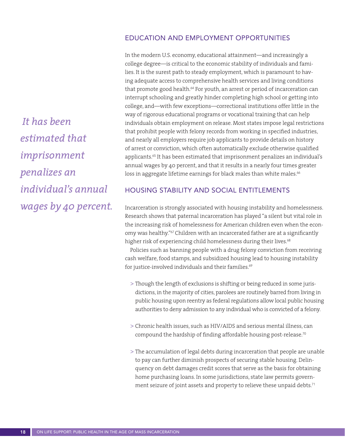#### EDUCATION AND EMPLOYMENT OPPORTUNITIES

In the modern U.S. economy, educational attainment—and increasingly a college degree—is critical to the economic stability of individuals and families. It is the surest path to steady employment, which is paramount to having adequate access to comprehensive health services and living conditions that promote good health.<sup>64</sup> For youth, an arrest or period of incarceration can interrupt schooling and greatly hinder completing high school or getting into college, and—with few exceptions—correctional institutions offer little in the way of rigorous educational programs or vocational training that can help individuals obtain employment on release. Most states impose legal restrictions that prohibit people with felony records from working in specified industries, and nearly all employers require job applicants to provide details on history of arrest or conviction, which often automatically exclude otherwise qualified applicants.<sup>65</sup> It has been estimated that imprisonment penalizes an individual's annual wages by 40 percent, and that it results in a nearly four times greater loss in aggregate lifetime earnings for black males than white males.<sup>66</sup>

#### HOUSING STABILITY AND SOCIAL ENTITLEMENTS

Incarceration is strongly associated with housing instability and homelessness. Research shows that paternal incarceration has played "a silent but vital role in the increasing risk of homelessness for American children even when the economy was healthy."<sup>67</sup> Children with an incarcerated father are at a significantly higher risk of experiencing child homelessness during their lives.<sup>68</sup>

Policies such as banning people with a drug felony conviction from receiving cash welfare, food stamps, and subsidized housing lead to housing instability for justice-involved individuals and their families.<sup>69</sup>

- > Though the length of exclusions is shifting or being reduced in some jurisdictions, in the majority of cities, parolees are routinely barred from living in public housing upon reentry as federal regulations allow local public housing authorities to deny admission to any individual who is convicted of a felony.
- > Chronic health issues, such as HIV/AIDS and serious mental illness, can compound the hardship of finding affordable housing post-release.<sup>70</sup>
- > The accumulation of legal debts during incarceration that people are unable to pay can further diminish prospects of securing stable housing. Delinquency on debt damages credit scores that serve as the basis for obtaining home purchasing loans. In some jurisdictions, state law permits government seizure of joint assets and property to relieve these unpaid debts.<sup>71</sup>

 *It has been estimated that imprisonment penalizes an individual's annual wages by 40 percent.*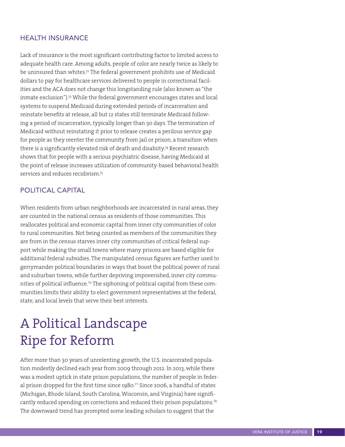#### HEALTH INSURANCE

Lack of insurance is the most significant contributing factor to limited access to adequate health care. Among adults, people of color are nearly twice as likely to be uninsured than whites.<sup>72</sup> The federal government prohibits use of Medicaid dollars to pay for healthcare services delivered to people in correctional facilities and the ACA does not change this longstanding rule (also known as "the inmate exclusion").73 While the federal government encourages states and local systems to suspend Medicaid during extended periods of incarceration and reinstate benefits at release, all but 12 states still terminate Medicaid following a period of incarceration, typically longer than 30 days. The termination of Medicaid without reinstating it prior to release creates a perilous service gap for people as they reenter the community from jail or prison, a transition when there is a significantly elevated risk of death and disabiity.<sup>74</sup> Recent research shows that for people with a serious psychiatric disease, having Medicaid at the point of release increases utilization of community-based behavioral health services and reduces recidivism.75

#### POLITICAL CAPITAL

When residents from urban neighborhoods are incarcerated in rural areas, they are counted in the national census as residents of those communities. This reallocates political and economic capital from inner city communities of color to rural communities. Not being counted as members of the communities they are from in the census starves inner city communities of critical federal support while making the small towns where many prisons are based eligible for additional federal subsidies. The manipulated census figures are further used to gerrymander political boundaries in ways that boost the political power of rural and suburban towns, while further depriving impoverished, inner city communities of political influence.<sup>76</sup> The siphoning of political capital from these communities limits their ability to elect government representatives at the federal, state, and local levels that serve their best interests.

# A Political Landscape Ripe for Reform

After more than 30 years of unrelenting growth, the U.S. incarcerated population modestly declined each year from 2009 through 2012. In 2013, while there was a modest uptick in state prison populations, the number of people in federal prison dropped for the first time since 1980.<sup>77</sup> Since 2006, a handful of states (Michigan, Rhode Island, South Carolina, Wisconsin, and Virginia) have significantly reduced spending on corrections and reduced their prison populations.<sup>78</sup> The downward trend has prompted some leading scholars to suggest that the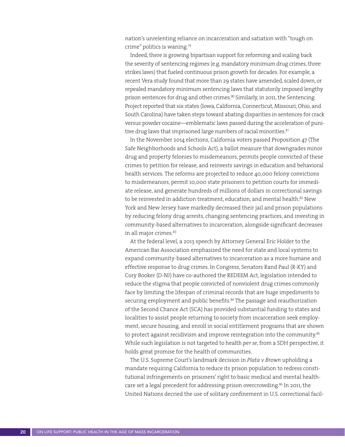nation's unrelenting reliance on incarceration and satiation with "tough on crime" politics is waning.<sup>79</sup>

Indeed, there is growing bipartisan support for reforming and scaling back the severity of sentencing regimes (e.g. mandatory minimum drug crimes, three strikes laws) that fueled continuous prison growth for decades. For example, a recent Vera study found that more than 29 states have amended, scaled down, or repealed mandatory minimum sentencing laws that statutorily imposed lengthy prison sentences for drug and other crimes.<sup>80</sup> Similarly, in 2011, the Sentencing Project reported that six states (Iowa, California, Connecticut, Missouri, Ohio, and South Carolina) have taken steps toward abating disparities in sentences for crack versus powder cocaine—emblematic laws passed during the acceleration of punitive drug laws that imprisoned large numbers of racial minorities.<sup>81</sup>

In the November 2014 elections, California voters passed Proposition 47 (The Safe Neighborhoods and Schools Act), a ballot measure that downgrades minor drug and property felonies to misdemeanors, permits people convicted of these crimes to petition for release, and reinvests savings in education and behavioral health services. The reforms are projected to reduce 40,000 felony convictions to misdemeanors, permit 10,000 state prisoners to petition courts for immediate release, and generate hundreds of millions of dollars in correctional savings to be reinvested in addiction treatment, education, and mental health.<sup>82</sup> New York and New Jersey have markedly decreased their jail and prison populations by reducing felony drug arrests, changing sentencing practices, and investing in community-based alternatives to incarceration, alongside significant decreases in all major crimes.<sup>83</sup>

At the federal level, a 2013 speech by Attorney General Eric Holder to the American Bar Association emphasized the need for state and local systems to expand community-based alternatives to incarceration as a more humane and effective response to drug crimes. In Congress, Senators Rand Paul (R-KY) and Cory Booker (D-NJ) have co-authored the REDEEM Act, legislation intended to reduce the stigma that people convicted of nonviolent drug crimes commonly face by limiting the lifespan of criminal records that are huge impediments to securing employment and public benefits.<sup>84</sup> The passage and reauthorization of the Second Chance Act (SCA) has provided substantial funding to states and localities to assist people returning to society from incarceration seek employment, secure housing, and enroll in social entitlement programs that are shown to protect against recidivism and improve reintegration into the community.<sup>85</sup> While such legislation is not targeted to health *per se*, from a SDH perspective, it holds great promise for the health of communities.

The U.S. Supreme Court's landmark decision in *Plata v Brown* upholding a mandate requiring California to reduce its prison population to redress constitutional infringements on prisoners' right to basic medical and mental healthcare set a legal precedent for addressing prison overcrowding.<sup>86</sup> In 2011, the United Nations decried the use of solitary confinement in U.S. correctional facil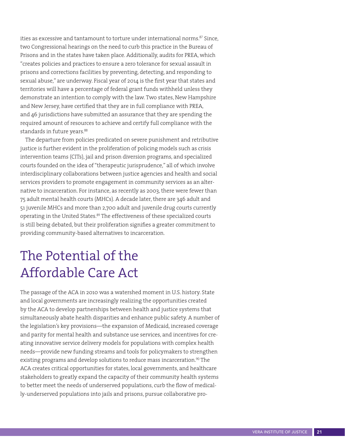ities as excessive and tantamount to torture under international norms.<sup>87</sup> Since, two Congressional hearings on the need to curb this practice in the Bureau of Prisons and in the states have taken place. Additionally, audits for PREA, which "creates policies and practices to ensure a zero tolerance for sexual assault in prisons and corrections facilities by preventing, detecting, and responding to sexual abuse," are underway. Fiscal year of 2014 is the first year that states and territories will have a percentage of federal grant funds withheld unless they demonstrate an intention to comply with the law. Two states, New Hampshire and New Jersey, have certified that they are in full compliance with PREA, and 46 jurisdictions have submitted an assurance that they are spending the required amount of resources to achieve and certify full compliance with the standards in future years.<sup>88</sup>

The departure from policies predicated on severe punishment and retributive justice is further evident in the proliferation of policing models such as crisis intervention teams (CITs), jail and prison diversion programs, and specialized courts founded on the idea of "therapeutic jurisprudence," all of which involve interdisciplinary collaborations between justice agencies and health and social services providers to promote engagement in community services as an alternative to incarceration. For instance, as recently as 2003, there were fewer than 75 adult mental health courts (MHCs). A decade later, there are 346 adult and 51 juvenile MHCs and more than 2,700 adult and juvenile drug courts currently operating in the United States.<sup>89</sup> The effectiveness of these specialized courts is still being debated, but their proliferation signifies a greater commitment to providing community-based alternatives to incarceration.

# The Potential of the Affordable Care Act

The passage of the ACA in 2010 was a watershed moment in U.S. history. State and local governments are increasingly realizing the opportunities created by the ACA to develop partnerships between health and justice systems that simultaneously abate health disparities and enhance public safety. A number of the legislation's key provisions—the expansion of Medicaid, increased coverage and parity for mental health and substance use services, and incentives for creating innovative service delivery models for populations with complex health needs—provide new funding streams and tools for policymakers to strengthen existing programs and develop solutions to reduce mass incarceration.<sup>90</sup> The ACA creates critical opportunities for states, local governments, and healthcare stakeholders to greatly expand the capacity of their community health systems to better meet the needs of underserved populations, curb the flow of medically-underserved populations into jails and prisons, pursue collaborative pro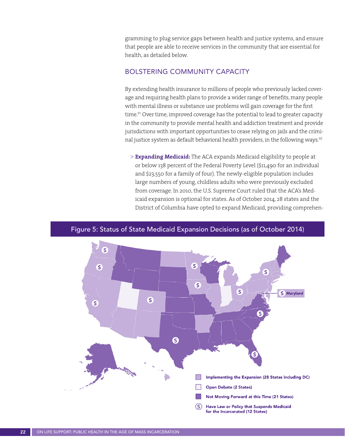gramming to plug service gaps between health and justice systems, and ensure that people are able to receive services in the community that are essential for health, as detailed below.

#### BOLSTERING COMMUNITY CAPACITY

By extending health insurance to millions of people who previously lacked coverage and requiring health plans to provide a wider range of benefits, many people with mental illness or substance use problems will gain coverage for the first time.<sup>91</sup> Over time, improved coverage has the potential to lead to greater capacity in the community to provide mental health and addiction treatment and provide jurisdictions with important opportunities to cease relying on jails and the criminal justice system as default behavioral health providers, in the following ways.<sup>92</sup>

> **Expanding Medicaid:** The ACA expands Medicaid eligibility to people at or below 138 percent of the Federal Poverty Level (\$11,490 for an individual and \$23,550 for a family of four). The newly-eligible population includes large numbers of young, childless adults who were previously excluded from coverage. In 2010, the U.S. Supreme Court ruled that the ACA's Medicaid expansion is optional for states. As of October 2014, 28 states and the District of Columbia have opted to expand Medicaid, providing comprehen-



#### Figure 5: Status of State Medicaid Expansion Decisions (as of October 2014)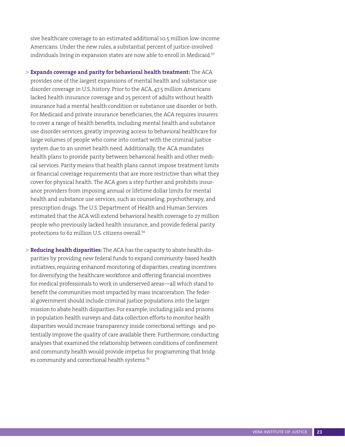sive healthcare coverage to an estimated additional 10.5 million low-income Americans. Under the new rules, a substantial percent of justice-involved individuals living in expansion states are now able to enroll in Medicaid.<sup>93</sup>

> **Expands coverage and parity for behavioral health treatment:** The ACA provides one of the largest expansions of mental health and substance use disorder coverage in U.S. history. Prior to the ACA, 47.5 million Americans lacked health insurance coverage and 25 percent of adults without health insurance had a mental health condition or substance use disorder or both. For Medicaid and private insurance beneficiaries, the ACA requires insurers to cover a range of health benefits, including mental health and substance use disorder services, greatly improving access to behavioral healthcare for large volumes of people who come into contact with the criminal justice system due to an unmet health need. Additionally, the ACA mandates health plans to provide parity between behavioral health and other medical services. Parity means that health plans cannot impose treatment limits or financial coverage requirements that are more restrictive than what they cover for physical health. The ACA goes a step further and prohibits insurance providers from imposing annual or lifetime dollar limits for mental health and substance use services, such as counseling, psychotherapy, and prescription drugs. The U.S. Department of Health and Human Services estimated that the ACA will extend behavioral health coverage to 27 million people who previously lacked health insurance, and provide federal parity protections to 62 million U.S. citizens overall.<sup>94</sup>

> **Reducing health disparities:** The ACA has the capacity to abate health disparities by providing new federal funds to expand community-based health initiatives, requiring enhanced monitoring of disparities, creating incentives for diversifying the healthcare workforce and offering financial incentives for medical professionals to work in underserved areas—all which stand to benefit the communities most impacted by mass incarceration. The federal government should include criminal justice populations into the larger mission to abate health disparities. For example, including jails and prisons in population health surveys and data collection efforts to monitor health disparities would increase transparency inside correctional settings and potentially improve the quality of care available there. Furthermore, conducting analyses that examined the relationship between conditions of confinement and community health would provide impetus for programming that bridges community and correctional health systems.<sup>95</sup>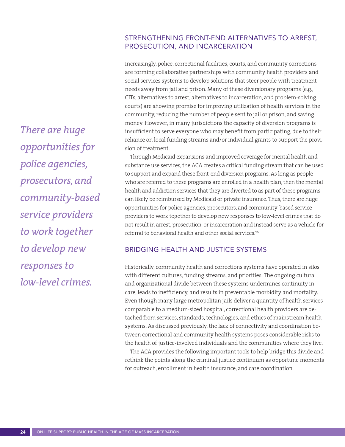#### STRENGTHENING FRONT-END ALTERNATIVES TO ARREST, PROSECUTION, AND INCARCERATION

Increasingly, police, correctional facilities, courts, and community corrections are forming collaborative partnerships with community health providers and social services systems to develop solutions that steer people with treatment needs away from jail and prison. Many of these diversionary programs (e.g., CITs, alternatives to arrest, alternatives to incarceration, and problem-solving courts) are showing promise for improving utilization of health services in the community, reducing the number of people sent to jail or prison, and saving money. However, in many jurisdictions the capacity of diversion programs is insufficient to serve everyone who may benefit from participating, due to their reliance on local funding streams and/or individual grants to support the provision of treatment.

Through Medicaid expansions and improved coverage for mental health and substance use services, the ACA creates a critical funding stream that can be used to support and expand these front-end diversion programs. As long as people who are referred to these programs are enrolled in a health plan, then the mental health and addiction services that they are diverted to as part of these programs can likely be reimbursed by Medicaid or private insurance. Thus, there are huge opportunities for police agencies, prosecutors, and community-based service providers to work together to develop new responses to low-level crimes that do not result in arrest, prosecution, or incarceration and instead serve as a vehicle for referral to behavioral health and other social services.<sup>96</sup>

#### BRIDGING HEALTH AND JUSTICE SYSTEMS

Historically, community health and corrections systems have operated in silos with different cultures, funding streams, and priorities. The ongoing cultural and organizational divide between these systems undermines continuity in care, leads to inefficiency, and results in preventable morbidity and mortality. Even though many large metropolitan jails deliver a quantity of health services comparable to a medium-sized hospital, correctional health providers are detached from services, standards, technologies, and ethics of mainstream health systems. As discussed previously, the lack of connectivity and coordination between correctional and community health systems poses considerable risks to the health of justice-involved individuals and the communities where they live.

The ACA provides the following important tools to help bridge this divide and rethink the points along the criminal justice continuum as opportune moments for outreach, enrollment in health insurance, and care coordination.

*There are huge opportunities for police agencies, prosecutors, and community-based service providers to work together to develop new responses to low-level crimes.*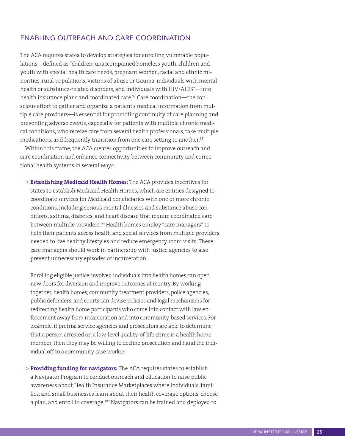#### ENABLING OUTREACH AND CARE COORDINATION

The ACA requires states to develop strategies for enrolling vulnerable populations—defined as "children, unaccompanied homeless youth, children and youth with special health care needs, pregnant women, racial and ethnic minorities, rural populations, victims of abuse or trauma, individuals with mental health or substance-related disorders, and individuals with HIV/AIDS"—into health insurance plans and coordinated care.<sup>97</sup> Care coordination—the conscious effort to gather and organize a patient's medical information from multiple care providers—is essential for promoting continuity of care planning and preventing adverse events, especially for patients with multiple chronic medical conditions, who receive care from several health professionals, take multiple medications, and frequently transition from one care setting to another.<sup>98</sup>

Within this frame, the ACA creates opportunities to improve outreach and care coordination and enhance connectivity between community and correctional health systems in several ways:

> **Establishing Medicaid Health Homes:** The ACA provides incentives for states to establish Medicaid Health Homes, which are entities designed to coordinate services for Medicaid beneficiaries with one or more chronic conditions, including serious mental illnesses and substance abuse conditions, asthma, diabetes, and heart disease that require coordinated care between multiple providers.99 Health homes employ "care managers" to help their patients access health and social services from multiple providers needed to live healthy lifestyles and reduce emergency room visits. These care managers should work in partnership with justice agencies to also prevent unnecessary episodes of incarceration.

Enrolling eligible justice-involved individuals into health homes can open new doors for diversion and improve outcomes at reentry. By working together, health homes, community treatment providers, police agencies, public defenders, and courts can devise policies and legal mechanisms for redirecting health home participants who come into contact with law enforcement away from incarceration and into community-based services. For example, if pretrial service agencies and prosecutors are able to determine that a person arrested on a low-level quality-of-life crime is a health home member, then they may be willing to decline prosecution and hand the individual off to a community case worker.

> **Providing funding for navigators:** The ACA requires states to establish a Navigator Program to conduct outreach and education to raise public awareness about Health Insurance Marketplaces where individuals, families, and small businesses learn about their health coverage options, choose a plan, and enroll in coverage.<sup>100</sup> Navigators can be trained and deployed to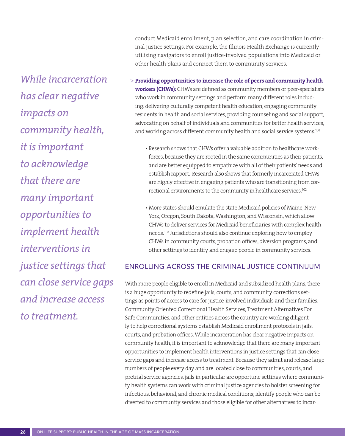conduct Medicaid enrollment, plan selection, and care coordination in criminal justice settings. For example, the Illinois Health Exchange is currently utilizing navigators to enroll justice-involved populations into Medicaid or other health plans and connect them to community services.

*While incarceration has clear negative impacts on community health, it is important to acknowledge that there are many important opportunities to implement health interventions in justice settings that can close service gaps and increase access to treatment.* 

- > **Providing opportunities to increase the role of peers and community health workers (CHWs):** CHWs are defined as community members or peer-specialists who work in community settings and perform many different roles including: delivering culturally competent health education, engaging community residents in health and social services, providing counseling and social support, advocating on behalf of individuals and communities for better health services, and working across different community health and social service systems.<sup>101</sup>
	- Research shows that CHWs offer a valuable addition to healthcare workforces, because they are rooted in the same communities as their patients, and are better equipped to empathize with all of their patients' needs and establish rapport. Research also shows that formerly incarcerated CHWs are highly effective in engaging patients who are transitioning from correctional environments to the community in healthcare services.<sup>102</sup>
	- More states should emulate the state Medicaid policies of Maine, New York, Oregon, South Dakota, Washington, and Wisconsin, which allow CHWs to deliver services for Medicaid beneficiaries with complex health needs.<sup>103</sup> Jurisdictions should also continue exploring how to employ CHWs in community courts, probation offices, diversion programs, and other settings to identify and engage people in community services.

#### ENROLLING ACROSS THE CRIMINAL JUSTICE CONTINUUM

With more people eligible to enroll in Medicaid and subsidized health plans, there is a huge opportunity to redefine jails, courts, and community corrections settings as points of access to care for justice-involved individuals and their families. Community Oriented Correctional Health Services, Treatment Alternatives For Safe Communities, and other entities across the country are working diligently to help correctional systems establish Medicaid enrollment protocols in jails, courts, and probation offices. While incarceration has clear negative impacts on community health, it is important to acknowledge that there are many important opportunities to implement health interventions in justice settings that can close service gaps and increase access to treatment. Because they admit and release large numbers of people every day and are located close to communities, courts, and pretrial service agencies, jails in particular are opportune settings where community health systems can work with criminal justice agencies to bolster screening for infectious, behavioral, and chronic medical conditions; identify people who can be diverted to community services and those eligible for other alternatives to incar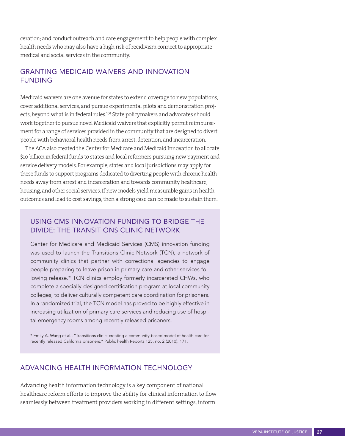ceration; and conduct outreach and care engagement to help people with complex health needs who may also have a high risk of recidivism connect to appropriate medical and social services in the community.

#### GRANTING MEDICAID WAIVERS AND INNOVATION FUNDING

Medicaid waivers are one avenue for states to extend coverage to new populations, cover additional services, and pursue experimental pilots and demonstration projects, beyond what is in federal rules.<sup>104</sup> State policymakers and advocates should work together to pursue novel Medicaid waivers that explicitly permit reimbursement for a range of services provided in the community that are designed to divert people with behavioral health needs from arrest, detention, and incarceration.

The ACA also created the Center for Medicare and Medicaid Innovation to allocate \$10 billion in federal funds to states and local reformers pursuing new payment and service delivery models. For example, states and local jurisdictions may apply for these funds to support programs dedicated to diverting people with chronic health needs away from arrest and incarceration and towards community healthcare, housing, and other social services. If new models yield measurable gains in health outcomes and lead to cost savings, then a strong case can be made to sustain them.

#### USING CMS INNOVATION FUNDING TO BRIDGE THE DIVIDE: THE TRANSITIONS CLINIC NETWORK

Center for Medicare and Medicaid Services (CMS) innovation funding was used to launch the Transitions Clinic Network (TCN), a network of community clinics that partner with correctional agencies to engage people preparing to leave prison in primary care and other services following release.\* TCN clinics employ formerly incarcerated CHWs, who complete a specially-designed certification program at local community colleges, to deliver culturally competent care coordination for prisoners. In a randomized trial, the TCN model has proved to be highly effective in increasing utilization of primary care services and reducing use of hospital emergency rooms among recently released prisoners.

\* Emily A. Wang et al., "Transitions clinic: creating a community-based model of health care for recently released California prisoners," Public health Reports 125, no. 2 (2010): 171.

#### ADVANCING HEALTH INFORMATION TECHNOLOGY

Advancing health information technology is a key component of national healthcare reform efforts to improve the ability for clinical information to flow seamlessly between treatment providers working in different settings, inform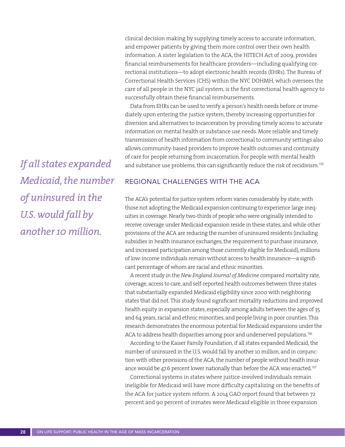clinical decision making by supplying timely access to accurate information, and empower patients by giving them more control over their own health information. A sister legislation to the ACA, the HITECH Act of 2009, provides financial reimbursements for healthcare providers—including qualifying correctional institutions—to adopt electronic health records (EHRs). The Bureau of Correctional Health Services (CHS) within the NYC DOHMH, which oversees the care of all people in the NYC jail system, is the first correctional health agency to successfully obtain these financial reimbursements.

Data from EHRs can be used to verify a person's health needs before or immediately upon entering the justice system, thereby increasing opportunities for diversion and alternatives to incarceration by providing timely access to accurate information on mental health or substance use needs. More reliable and timely transmission of health information from correctional to community settings also allows community-based providers to improve health outcomes and continuity of care for people returning from incarceration. For people with mental health and substance use problems, this can significantly reduce the risk of recidivism.<sup>105</sup>

*If all states expanded Medicaid, the number of uninsured in the U.S. would fall by another 10 million.*

#### REGIONAL CHALLENGES WITH THE ACA

The ACA's potential for justice system reform varies considerably by state, with those not adopting the Medicaid expansion continuing to experience large inequities in coverage. Nearly two-thirds of people who were originally intended to receive coverage under Medicaid expansion reside in these states, and while other provisions of the ACA are reducing the number of uninsured residents (including subsidies in health insurance exchanges, the requirement to purchase insurance, and increased participation among those currently eligible for Medicaid), millions of low-income individuals remain without access to health insurance—a significant percentage of whom are racial and ethnic minorities.

A recent study in the *New England Journal of Medicine* compared mortality rate, coverage, access to care, and self-reported health outcomes between three states that substantially expanded Medicaid eligibility since 2000 with neighboring states that did not. This study found significant mortality reductions and improved health equity in expansion states, especially among adults between the ages of 35 and 64 years, racial and ethnic minorities, and people living in poor counties. This research demonstrates the enormous potential for Medicaid expansions under the ACA to address health disparities among poor and underserved populations.<sup>106</sup>

According to the Kaiser Family Foundation, if all states expanded Medicaid, the number of uninsured in the U.S. would fall by another 10 million, and in conjunction with other provisions of the ACA, the number of people without health insurance would be 47.6 percent lower nationally than before the ACA was enacted.<sup>107</sup>

Correctional systems in states where justice-involved individuals remain ineligible for Medicaid will have more difficulty capitalizing on the benefits of the ACA for justice system reform. A 2014 GAO report found that between 72 percent and 90 percent of inmates were Medicaid eligible in three expansion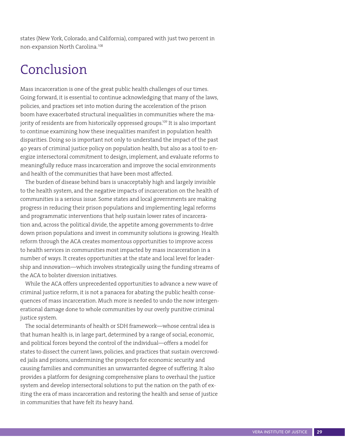states (New York, Colorado, and California), compared with just two percent in non-expansion North Carolina.<sup>108</sup>

## Conclusion

Mass incarceration is one of the great public health challenges of our times. Going forward, it is essential to continue acknowledging that many of the laws, policies, and practices set into motion during the acceleration of the prison boom have exacerbated structural inequalities in communities where the majority of residents are from historically oppressed groups.<sup>109</sup> It is also important to continue examining how these inequalities manifest in population health disparities. Doing so is important not only to understand the impact of the past 40 years of criminal justice policy on population health, but also as a tool to energize intersectoral commitment to design, implement, and evaluate reforms to meaningfully reduce mass incarceration and improve the social environments and health of the communities that have been most affected.

The burden of disease behind bars is unacceptably high and largely invisible to the health system, and the negative impacts of incarceration on the health of communities is a serious issue. Some states and local governments are making progress in reducing their prison populations and implementing legal reforms and programmatic interventions that help sustain lower rates of incarceration and, across the political divide, the appetite among governments to drive down prison populations and invest in community solutions is growing. Health reform through the ACA creates momentous opportunities to improve access to health services in communities most impacted by mass incarceration in a number of ways. It creates opportunities at the state and local level for leadership and innovation—which involves strategically using the funding streams of the ACA to bolster diversion initiatives.

While the ACA offers unprecedented opportunities to advance a new wave of criminal justice reform, it is not a panacea for abating the public health consequences of mass incarceration. Much more is needed to undo the now intergenerational damage done to whole communities by our overly punitive criminal justice system.

The social determinants of health or SDH framework—whose central idea is that human health is, in large part, determined by a range of social, economic, and political forces beyond the control of the individual—offers a model for states to dissect the current laws, policies, and practices that sustain overcrowded jails and prisons, undermining the prospects for economic security and causing families and communities an unwarranted degree of suffering. It also provides a platform for designing comprehensive plans to overhaul the justice system and develop intersectoral solutions to put the nation on the path of exiting the era of mass incarceration and restoring the health and sense of justice in communities that have felt its heavy hand.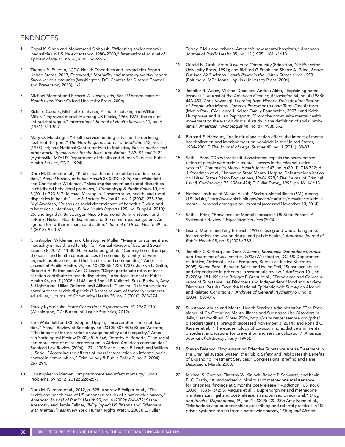#### ENDNOTES

- 1 Gopal K. Singh and Mohammad Siahpush. "Widening socioeconomic inequalities in US life expectancy, 1980–2000," *International Journal of Epidemiology* 35, no. 4 (2006): 969-979.
- 2 Thomas R. Frieden, "CDC Health Disparities and Inequalities Report, United States, 2013, Foreword," *Morbidity and mortality weekly report. Surveillance summaries* (Washington, DC: Centers for Disease Control and Prevention, 2013), 1-2.
- 3 Michael Marmot and Richard Wilkinson, eds, *Social Determinants of Health* (New York: Oxford University Press, 2006).
- 4 Richard Cooper, Michael Steinhauer, Arthur Schatzkin, and William Miller, "Improved mortality among US blacks, 1968-1978: the role of antiracist struggle," *International Journal of Health Services* 11, no. 4 (1981): 511-522.
- 5 Mary O. Mundinger, "Health service funding cuts and the declining health of the poor," *The New England Journal of Medicine* 313, no. 1 (1985): 44; and National Center for Health Statistics, *Excess deaths and other mortality measures for the black population, 1979-81 and 1991*  (Hyattsville, MD: US Department of Health and Human Services, Public Health Service, CDC, 1994).
- 6 Dora M. Dumont et al., "Public health and the epidemic of incarceration," *Annual Review of Public Health* 33 (2012): 325; Sara Wakefield and Christopher Wildeman, "Mass imprisonment and racial disparities in childhood behavioral problems," *Criminology & Public Policy* 10, no. 3 (2011): 793-817; Michael Massoglia, "Incarceration, health, and racial disparities in health," *Law & Society Review* 42, no. 2 (2008): 275-306; Niyi Awofeso, "Prisons as social determinants of hepatitis C virus and tuberculosis infections," *Public Health Reports* 125, no. Suppl 4 (2010): 25; and Ingrid A. Binswanger, Nicole Redmond, John F. Steiner, and LeRoi S. Hicks, "Health disparities and the criminal justice system: An agenda for further research and action," *Journal of Urban Health* 89, no. 1 (2012): 98-107.
- 7 Christopher Wildeman and Christopher Muller, "Mass imprisonment and inequality in health and family life," Annual Review of Law and Social Science 8 (2012): 11-30; N. Freudenberg et al., "Coming home from jail: the social and health consequences of community reentry for women, male adolescents, and their families and communities," American Journal of Public Health, 95, no. 10 (2005): 1725-1736; Juarlyn L. Gaiter, Roberto H. Potter, and Ann O'Leary, "Disproportionate rates of incarceration contribute to health disparities," American Journal of Public Health 96, no. 7 (2006): 1148; and Sonali P. Kulkarni, Susie Baldwin, Amy S. Lightstone, Lillian Gelberg, and Allison L. Diamant, "Is incarceration a contributor to health disparities? Access to care of formerly incarcerated adults," Journal of Community Health 35, no. 3 (2010): 268-274.
- 8 Tracey Kyckelhahn, *State Corrections Expenditures, FY 1982-2010* (Washington, DC: Bureau of Justice Statistics*,* 2012).
- 9 Sara Wakefield and Christopher Uggen, "Incarceration and stratification," Annual Review of Sociology 36 (2010): 387-406; Bruce Western, "The impact of incarceration on wage mobility and inequality," American Sociological Review (2002): 526-546; Dorothy E. Roberts, "The social and moral cost of mass incarceration in African American communities." Stanford Law Review (2004): 1271-1305; and James P. Lynch and William J. Sabol, "Assessing the effects of mass incarceration on informal social control in communities," Criminology & Public Policy 3, no. 2 (2004): 267-294.
- Christopher Wildeman, "Imprisonment and infant mortality," Social Problems, 59 no. 2 (2012): 228-257.
- 11 Dora M. Dumont et al., 2012, p. 325; Andrew P. Wilper et al., "The health and health care of US prisoners: results of a nationwide survey," *American Journal of Public Health* 99, no. 4 (2009): 666-672; Sasha Abramsky and Jamie Fellner, *Ill-Equipped: US Prisons and Offenders with Mental Illness* (New York: Human Rights Watch, 2003); E. Fuller

Torrey, "Jails and prisons--America's new mental hospitals," *American Journal of Public Health* 85, no. 12 (1995): 1611-1613.

- 12 Gerald N. Grob, *From Asylum to Community* (Princeton, NJ: Princeton University Press, 1991); and Richard G Frank and Sherry A. Glied, *Better But Not Well: Mental Health Policy in the United States since 1950* (Baltimore, MD: Johns Hopkins University Press, 2006).
- 13 Jennifer R. Wolch, Michael Dear, and Andrea Akita, "Explaining homelessness," *Journal of the American Planning Association* 54, no. 4 (1988): 443-453; Chris Koyanagi, *Learning from History: Deinstitutionalization of People with Mental Illness as Precursor to Long-Term Care Reform*  (Menlo Park, CA: Henry J. Kaiser Family Foundation, 2007); and Keith Humphreys and Julian Rappaport, "From the community mental health movement to the war on drugs: A study in the definition of social problems," *American Psychologist* 48, no. 8 (1993): 892.
- Bernard E. Harcourt, "An institutionalization effect: the impact of mental hospitalization and imprisonment on homicide in the United States, 1934–2001." *The Journal of Legal Studies* 40, no. 1 (2011): 39-83.
- 15 Seth J. Prins, "Does transinstitutionalization explain the overrepresentation of people with serious mental illnesses in the criminal justice system?" *Community Mental Health Journal* 47, no. 6 (2011): 716-722; H. J. Steadman et al., "Impact of State Mental Hospital Deinstitutionalization on United States Prison Populations, 1968-1978," *The Journal of Criminal Law & Criminology*, *75* (1984): 474; E. Fuller Torrey, 1995, pp 1611-1613.
- 16 National Institute of Mental Health, "Serious Mental Illness (SMI) Among U.S. Adults," http://www.nimh.nih.gov/health/statistics/prevalence/seriousmental-illness-smi-among-us-adults.shtml (accessed November 13, 2014).
- 17 Seth J. Prins, "Prevalence of Mental Illnesses in US State Prisons: A Systematic Review." *Psychiatric Services* (2014).
- 18 Lisa D. Moore and Amy Elkavich, "Who's using and who's doing time: Incarceration, the war on drugs, and public health," *American Journal of Public Health* 98, no. 5 (2008): 782.
- 19 Jennifer C.Karberg and Doris J. James, *Substance Dependence, Abuse, and Treatment of Jail Inmates, 2002* (Washington, DC: US Department of Justice, Office of Justice Programs, Bureau of Justice Statistics, 2005); Seena Fazel, Parveen Bains, and Helen Doll, "Substance abuse and dependence in prisoners: a systematic review," *Addiction* 101, no. 2 (2006): 181-191; and Bridget F Grant et al., "Prevalence and Co-occurrence of Substance Use Disorders and Independent Mood and Anxiety Disorders: Results From the National Epidemiologic Survey on Alcohol and Related Conditions," *Archives of General Psychiatry* 61, no. 8 (2004): 807-816.
- 20 Substance Abuse and Mental Health Services Administration,"The Prevalence of Co-Occurring Mental Illness and Substance Use Disorders in Jails," last modified Winter 2004, http://gainscenter.samhsa.gov/pdfs/ disorders/gainsjailprev.pdf (accessed November 3, 2014); and Ronald C. Kessler et al., "The epidemiology of co-occurring addictive and mental disorders: implications for prevention and service utilization," *American Journal of Orthopsychiatry* (1996).
- 21 Steven Belenko, "Implementing Effective Substance Abuse Treatment in the Criminal Justice System: the Public Safety and Public Health Benefits of Expanding Treatment Services," Congressional Briefing and Panel Discussion, March, 2008.
- 22 Michael S. Gordon, Timothy W. Kinlock, Robert P. Schwartz, and Kevin E. O'Grady, "A randomized clinical trial of methadone maintenance for prisoners: findings at 6 months post-release," *Addiction* 103, no. 8 (2008): 1333-1342; S. Magura et al.,."Buprenorphine and methadone maintenance in jail and post-release: a randomized clinical trial." *Drug and Alcohol Dependence*, *99,* no. 1 (2009): 222-230; Amy Nunn et al., "Methadone and buprenorphine prescribing and referral practices in US prison systems: results from a nationwide survey," *Drug and Alcohol*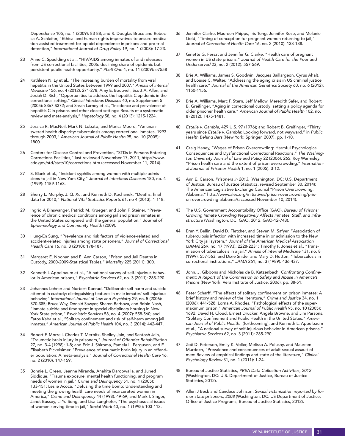*Dependence* 105, no. 1 (2009): 83-88; and R. Douglas Bruce and Rebecca A. Schleifer, "Ethical and human rights imperatives to ensure medication-assisted treatment for opioid dependence in prisons and pre-trial detention," *International Journal of Drug Policy* 19, no. 1 (2008): 17-23.

- Anne C. Spaulding et al., "HIV/AIDS among inmates of and releasees from US correctional facilities, 2006: declining share of epidemic but persistent public health opportunity," *PLoS One* 4, no. 11 (2009): e7558
- Kathleen N. Ly et al., "The increasing burden of mortality from viral hepatitis in the United States between 1999 and 2007," *Annals of Internal Medicine* 156, no. 4 (2012): 271-278; Amy E. Boutwell, Scott A. Allen, and Josiah D. Rich, "Opportunities to address the hepatitis C epidemic in the correctional setting," *Clinical Infectious Diseases* 40, no. Supplement 5 (2005): S367-S372; and Sarah Larney et al., "Incidence and prevalence of hepatitis C in prisons and other closed settings: Results of a systematic review and meta-analysis," *Hepatology* 58, no. 4 (2013): 1215-1224.
- 25 Jessica R. MacNeil, Mark N. Lobato, and Marisa Moore, "An unanswered health disparity: tuberculosis among correctional inmates, 1993 through 2003," *American Journal of Public Health* 95, no. 10 (2005): 1800.
- 26 Centers for Disease Control and Prevention, "STDs in Persons Entering Corrections Facilities," last reviewed November 17, 2011, http://www. cdc.gov/std/stats10/corrections.htm (accessed November 11, 2014).
- 27 S. Blank et al., "Incident syphilis among women with multiple admissions to jail in New York City," *Journal of Infectious Diseases* 180, no. 4 (1999): 1159-1163.
- 28 Sherry L. Murphy, J. Q. Xu, and Kenneth D. Kochanek, "Deaths: final data for 2010," *National Vital Statistics Reports* 61, no 4 (2013): 1-118.
- 29 Ingrid A Binswanger, Patrick M. Krueger, and John F. Steiner. "Prevalence of chronic medical conditions among jail and prison inmates in the United States compared with the general population," *Journal of Epidemiology and Community Health* (2009).
- 30 Hung-En Sung, "Prevalence and risk factors of violence-related and accident-related injuries among state prisoners," *Journal of Correctional Health Care* 16, no. 3 (2010): 178-187.
- 31 Margaret E. Noonan and E. Ann Carson, "Prison and Jail Deaths in Custody, 2000-2009-Statistical Tables," *Mortality* 225 (2011): 300.
- 32 Kenneth L Appelbaum et al., "A national survey of self-injurious behavior in American prisons," *Psychiatric Services* 62, no. 3 (2011): 285-290.
- 33 Johannes Lohner and Norbert Konrad, "Deliberate self-harm and suicide attempt in custody: distinguishing features in male inmates' self-injurious behavior," *International Journal of Law and Psychiatry* 29, no. 5 (2006): 370-385; Bruce Way, Donald Sawyer, Sharen Barboza, and Robin Nash, "Inmate suicide and time spent in special disciplinary housing in New York State prison," *Psychiatric Services* 58, no. 4 (2007): 558-560; and Fatos Kaba et al., "Solitary confinement and risk of self-harm among jail inmates." *American Journal of Public Health* 104, no. 3 (2014): 442-447.
- Robert F. Morrell, Charles T. Merbitz, Shelley Jain, and Santosh Jain, "Traumatic brain injury in prisoners," *Journal of Offender Rehabilitation* 27, no. 3-4 (1998): 1-8; and Eric J. Shiroma, Pamela L. Ferguson, and E. Elisabeth Pickelsimer. "Prevalence of traumatic brain injury in an offender population: A meta-analysis," *Journal of Correctional Health Care* 16, no. 2 (2010): 147-159.
- 35 Bonnie L. Green, Jeanne Miranda, Anahita Daroowalla, and Juned Siddique. "Trauma exposure, mental health functioning, and program needs of women in jail," *Crime and Delinquency* 51, no. 1 (2005): 133-151; Leslie Acoca, "Defusing the time bomb: Understanding and meeting the growing health care needs of incarcerated women in America," *Crime and Delinquency* 44 (1998): 49-69; and Mark I. Singer, Janet Bussey, Li-Yu Song, and Lisa Lunghofer, "The psychosocial issues of women serving time in jail," *Social Work* 40, no. 1 (1995): 103-113.
- 36 Jennifer Clarke, Maureen Phipps, Iris Tong, Jennifer Rose, and Melanie Gold, "Timing of conception for pregnant women returning to jail," *Journal of Correctional Health Care* 16, no. 2 (2010): 133-138.
- 37 Ginette G. Ferszt and Jennifer G. Clarke, "Health care of pregnant women in US state prisons," *Journal of Health Care for the Poor and Underserved* 23, no. 2 (2012): 557-569.
- 38 Brie A. Williams, James S. Goodwin, Jacques Baillargeon, Cyrus Ahalt, and Louise C. Walter, "Addressing the aging crisis in US criminal justice health care," *Journal of the American Geriatrics Society* 60, no. 6 (2012): 1150-1156.
- 39 Brie A. Williams, Marc F. Stern, Jeff Mellow, Meredith Safer, and Robert B. Greifinger, "Aging in correctional custody: setting a policy agenda for older prisoner health care," *American Journal of Public Health* 102, no. 8 (2012): 1475-1481.
- 40 *Estelle v. Gamble*, 429 U.S. 97 (1976); and Robert B. Greifinger, "Thirty years since *Estelle v. Gamble*: Looking forward, not wayward," in *Public Health Behind Bars* (New York: Springer, 2007), pp. 1-10.
- 41 Craig Haney, "Wages of Prison Overcrowding: Harmful Psychological Consequences and Dysfunctional Correctional Reactions," *The Washington University Journal of Law and Policy* 22 (2006): 265; Roy Warmsley, "Prison health care and the extent of prison overcrowding," *International Journal of Prisoner Health* 1, no. 1 (2005): 3-12.
- 42 Ann E. Carson, *Prisoners in 2013.* (Washington, DC: U.S. Department of Justice, Bureau of Justice Statistics, revised September 30, 2014); The American Legislative Exchange Council "Prison Overcrowding: Alabama," http://www.alec.org/initiatives/prison-overcrowding/prison-overcrowding-alabama/(accessed November 10, 2014).
- 43 The U.S. Government Accountability Office (GAO), *Bureau of Prisons: Growing Inmate Crowding Negatively Affects Inmates, Staff, and Infrastructure* (Washington, DC: GAO, 2012, GAO-12-743).
- Eran Y. Bellin, David D. Fletcher, and Steven M. Safyer. "Association of tuberculosis infection with increased time in or admission to the New York City jail system," *Journal of the American Medical Association (JAMA)* 269, no. 17 (1993): 2228-2231; Timothy F. Jones et al., "Transmission of tuberculosis in a jail," *Annals of Internal Medicine* 131, no. 8 (1999): 557-563; and Dixie Snider and Mary D. Hutton, "Tuberculosis in correctional institutions," *JAMA* 261, no. 3 (1989): 436-437.
- 45 John. J. Gibbons and Nicholas de B. Katzenbach, *Confronting Confinement: A Report of the Commission on Safety and Abuse in America's Prisons* (New York: Vera Institute of Justice, 2006), pp. 38-51.
- 46 Peter Scharff. "The effects of solitary confinement on prison inmates: A brief history and review of the literature," *Crime and Justice* 34, no. 1 (2006): 441-528; Lorna A. Rhodes, "Pathological effects of the supermaximum prison." *American Journal of Public Health* 95, no. 10 (2005): 1692; David H. Cloud, Ernest Drucker, Angela Browne, and Jim Parsons, "Solitary Confinement and Public Health in the United States," *American Journal of Public Health.* (forthcoming); and Kenneth L. Appelbaum et al., "A national survey of self-injurious behavior in American prisons," *Psychiatric Services* 62, no. 3 (2011): 285-290.
- 47 Zoë D. Peterson, Emily K. Voller, Melissa A. Polusny, and Maureen Murdoch, "Prevalence and consequences of adult sexual assault of men: Review of empirical findings and state of the literature," *Clinical Psychology Review* 31, no. 1 (2011): 1-24.
- 48 Bureau of Justice Statistics, *PREA Data Collection Activities, 2012* (Washington, DC: U.S. Department of Justice, Bureau of Justice Statistics, 2012).
- 49 Allen J Beck and Candace Johnson, *Sexual victimization reported by former state prisoners, 2008* (Washington, DC: US Department of Justice, Office of Justice Programs, Bureau of Justice Statistics, 2012).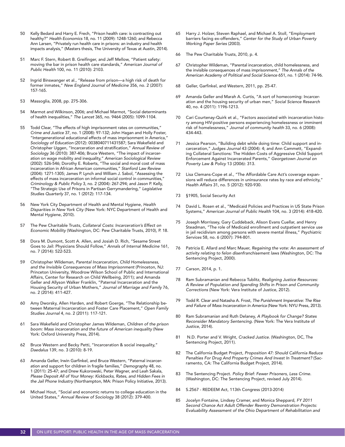- 50 Kelly Bedard and Harry E. Frech, "Prison health care: is contracting out healthy?" *Health Economics* 18, no. 11 (2009): 1248-1260; and Rebecca Ann Larsen, "Privately run health care in prisons: an industry and health impacts analysis," (Masters thesis, The University of Texas at Austin, 2014).
- 51 Marc F. Stern, Robert B. Greifinger, and Jeff Mellow, "Patient safety: moving the bar in prison health care standards," *American Journal of Public Health* 100, no. 11 (2010): 2103.
- Ingrid Binswanger et al., "Release from prison—a high risk of death for former inmates," *New England Journal of Medicine* 356, no. 2 (2007): 157-165.
- 53 Massoglia, 2008, pp. 275-306.
- 54 Marmot and Wilkinson, 2006; and Michael Marmot, "Social determinants of health inequalities," *The Lancet* 365, no. 9464 (2005): 1099-1104.
- 55 Todd Clear, "The effects of high imprisonment rates on communities," *Crime and Justice* 37, no. 1 (2008): 97-132; John Hagan and Holly Foster, "Intergenerational educational effects of mass imprisonment in America," *Sociology of Education* (2012): 0038040711431587; Sara Wakefield and Christopher Uggen, "Incarceration and stratification," *Annual Review of Sociology* 36 (2010): 387-406; Bruce Western, "The impact of incarceration on wage mobility and inequality," *American Sociological Review* (2002): 526-546; Dorothy E. Roberts, "The social and moral cost of mass incarceration in African American communities," *Stanford Law Review* (2004): 1271-1305; James P. Lynch and William J. Sabol, "Assessing the effects of mass incarceration on informal social control in communities," *Criminology & Public Policy* 3, no. 2 (2004): 267-294; and Jason P. Kelly, "The Strategic Use of Prisons in Partisan Gerrymandering," *Legislative Studies Quarterly* 37, no. 1 (2012): 117-134.
- 56 New York City Department of Health and Mental Hygiene, *Health Disparities in New York City* (New York: NYC Department of Health and Mental Hygiene, 2010).
- 57 The Pew Charitable Trusts, *Collateral Costs: Incarceration's Effect on Economic Mobility* (Washington, DC: Pew Charitable Trusts, 2010), P. 18.
- Dora M. Dumont, Scott A. Allen, and Josiah D. Rich, "Sesame Street Goes to Jail: Physicians Should Follow," *Annals of Internal Medicine* 161, no. 7 (2014): 522-523.
- 59 Christopher Wildeman, *Parental Incarceration, Child Homelessness, and the Invisible Consequences of Mass Imprisonment* (Princeton, NJ: Princeton University, Woodrow Wilson School of Public and International Affairs, Center for Research on Child Wellbeing, 2011); and Amanda Geller and Allyson Walker Franklin, "Paternal Incarceration and the Housing Security of Urban Mothers," *Journal of Marriage and Family* 76, no. 2 (2014): 411-427.
- 60 Amy Dworsky, Allen Harden, and Robert Goerge, "The Relationship between Maternal Incarceration and Foster Care Placement," *Open Family Studies Journal* 4, no. 2 (2011): 117-121.
- 61 Sara Wakefield and Christopher James Wildeman, *Children of the prison boom: Mass incarceration and the future of American inequality* (New York: Oxford University Press, 2014).
- 62 Bruce Western and Becky Petti, "Incarceration & social inequality," *Daedalus* 139, no. 3 (2010): 8-19.
- 63 Amanda Geller, Irwin Garfinkel, and Bruce Western, "Paternal incarceration and support for children in fragile families," *Demography* 48, no. 1 (2011): 25-47; and Drew Kukorowski, Peter Wagner, and Leah Sakala, *Please Deposit All of Your Money: Kickbacks, Rates, and Hidden Fees in the Jail Phone Industry* (Northampton, MA: Prison Policy Initiative, 2013).
- Michael Hout, "Social and economic returns to college education in the United States," *Annual Review of Sociology* 38 (2012): 379-400.
- 65 Harry J. Holzer, Steven Raphael, and Michael A. Stoll, "Employment barriers facing ex-offenders," *Center for the Study of Urban Poverty Working Paper Series* (2003).
- 66 The Pew Charitable Trusts, 2010, p. 4.
- 67 Christopher Wildeman, "Parental incarceration, child homelessness, and the invisible consequences of mass imprisonment," *The Annals of the American Academy of Political and Social Science* 651, no. 1 (2014): 74-96.
- 68 Geller, Garfinkel, and Western, 2011, pp. 25-47.
- 69 Amanda Geller and Marah A. Curtis, "A sort of homecoming: Incarceration and the housing security of urban men," *Social Science Research* 40, no. 4 (2011): 1196-1213.
- 70 Cari Courtenay-Quirk et al., "Factors associated with incarceration history among HIV-positive persons experiencing homelessness or imminent risk of homelessness," *Journal of community health* 33, no. 6 (2008): 434-443.
- 71 Jessica Pearson, "Building debt while doing time: Child support and incarceration," *Judges Journal* 43 (2004): 4; and Ann Cammett, "Expanding Collateral Sanctions: The Hidden Costs of Aggressive Child Support Enforcement Against Incarcerated Parents," *Georgetown Journal on Poverty Law & Policy* 13 (2006): 313.
- 72 Lisa Clemans-Cope et al., "The Affordable Care Act's coverage expansions will reduce differences in uninsurance rates by race and ethnicity," *Health Affairs* 31, no. 5 (2012): 920-930.
- 73 §1905, Social Security Act
- 74 David L. Rosen et al., "Medicaid Policies and Practices in US State Prison Systems," *American Journal of Public Health* 104, no. 3 (2014): 418-420.
- 75 Joseph Morrissey, Gary Cuddeback, Alison Evans Cuellar, and Henry Steadman, "The role of Medicaid enrollment and outpatient service use in jail recidivism among persons with severe mental illness," *Psychiatric Services* 58, no. 6 (2007): 794-801.
- 76 Patricia E. Allard and Marc Mauer, *Regaining the vote: An assessment of activity relating to felon disenfranchisement laws* (Washington, DC: The Sentencing Project, 2000).
- 77 Carson, 2014, p. 1.
- 78 Ram Subramanian and Rebecca Tublitz, *Realigning Justice Resources: A Review of Population and Spending Shifts in Prison and Community Corrections* (New York: Vera Institute of Justice, 2012).
- 79 Todd R. Clear and Natasha A. Frost, *The Punishment Imperative: The Rise and Failure of Mass Incarceration in America* (New York: NYU Press, 2013).
- 80 Ram Subramanian and Ruth Delaney, *A Playbook for Change? States Reconsider Mandatory Sentencing.* (New York: The Vera Institute of Justice, 2014).
- 81 N.D. Porter and V. Wright, *Cracked Justice.* (Washington, DC, The Sentencing Project, 2011).
- 82 The California Budget Project, *Proposition 47: Should California Reduce Penalties For Drug And Property Crimes And Invest In Treatment?* (Sacramento, CA: The California Budget Project, 2014).
- 83 The Sentencing Project. *Policy Brief: Fewer Prisoners, Less Crime.*  (Washington, DC: The Sentencing Project, revised July 2014).
- 84 S.2567 REDEEM Act, 113th Congress (2013-2014)
- 85 Jocelyn Fontaine, Lindsey Cramer, and Monica Sheppard, *FY 2011 Second Chance Act Adult Offender Reentry Demonstration Projects: Evaluability Assessment of the Ohio Department of Rehabilitation and*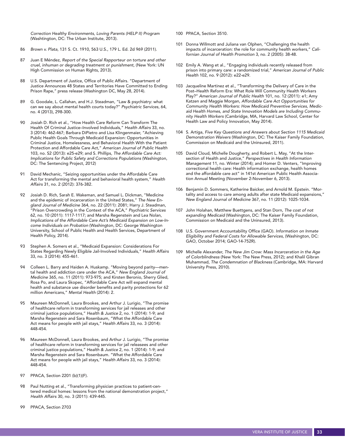*Correction Healthy Environments, Loving Parents (HELP II) Program* (Washtington, DC: The Urban Institute, 2013).

- 86 *Brown v. Plata*, 131 S. Ct. 1910, 563 U.S., 179 L. Ed. 2d 969 (2011).
- 87 Juan E Méndez, *Report of the Special Rapporteur on torture and other cruel, inhuman or degrading treatment or punishment,* (New York: UN High Commission on Human Rights, 2013).
- 88 U.S. Department of Justice, Office of Public Affairs. "Department of Justice Announces 48 States and Territories Have Committed to Ending Prison Rape," press release (Washington DC, May 28, 2014).
- 89 G. Goodale, L. Callahan, and H.J. Steadman, "Law & psychiatry: what can we say about mental health courts today?" *Psychiatric Services*, 64, no. 4 (2013), 298-300.
- 90 Josiah D. Rich et al., "How Health Care Reform Can Transform The Health Of Criminal Justice–Involved Individuals," *Health Affairs* 33, no. 3 (2014): 462-467; Barbara DiPietro and Lisa Klingenmaier, "Achieving Public Health Goals Through Medicaid Expansion: Opportunities in Criminal Justice, Homelessness, and Behavioral Health With the Patient Protection and Affordable Care Act," *American Journal of Public Health* 103, no. S2 (2013): e25-e29; and S. Phillips, *The Affordable Care Act: Implications for Public Safety and Corrections Populations* (Washington, DC: The Sentencing Project, 2012)
- David Mechanic, "Seizing opportunities under the Affordable Care Act for transforming the mental and behavioral health system," *Health Affairs* 31, no. 2 (2012): 376-382.
- Josiah D. Rich, Sarah E. Wakeman, and Samuel L. Dickman, "Medicine and the epidemic of incarceration in the United States," *The New England Journal of Medicine* 364, no. 22 (2011): 2081; Harry J. Steadman, "Prison Overcrowding in the Context of the ACA," *Psychiatric Services* 62, no. 10 (2011): 1117-1117; and Marsha Regenstein and Lea Nolan, *Implications of the Affordable Care Act's Medicaid Expansion on Low-Income Individuals on Probation* (Washington, DC: George Washington University, School of Public Health and Health Services, Department of Health Policy, 2014).
- 93 Stephen A. Somers et al., "Medicaid Expansion: Considerations For States Regarding Newly Eligible Jail-Involved Individuals," *Health Affairs* 33, no. 3 (2014): 455-461.
- 94 Colleen L. Barry and Haiden A. Huskamp. "Moving beyond parity—mental health and addiction care under the ACA," *New England Journal of Medicine* 365, no. 11 (2011): 973-975; and Kirsten Beronio, Sherry Glied, Rosa Po, and Laura Skopec, "Affordable Care Act will expand mental health and substance use disorder benefits and parity protections for 62 million Americans," *Mental Health* (2014): 2.
- Maureen McDonnell, Laura Brookes, and Arthur J. Lurigio, "The promise of healthcare reform in transforming services for jail releases and other criminal justice populations," *Health & Justice* 2, no. 1 (2014): 1-9; and Marsha Regenstein and Sara Rosenbaum, "What the Affordable Care Act means for people with jail stays," *Health Affairs* 33, no. 3 (2014): 448-454.
- 96 Maureen McDonnell, Laura Brookes, and Arthur J. Lurigio, "The promise of healthcare reform in transforming services for jail releasees and other criminal justice populations," *Health & Justice* 2, no. 1 (2014): 1-9; and Marsha Regenstein and Sara Rosenbaum. "What the Affordable Care Act means for people with jail stays," *Health Affairs* 33, no. 3 (2014): 448-454.
- 97 PPACA, Section 2201 (b)(1)(F).
- 98 Paul Nutting et al., "Transforming physician practices to patient-centered medical homes: lessons from the national demonstration project," *Health Affairs* 30, no. 3 (2011): 439-445.
- PPACA, Section 2703
- 100 PPACA, Section 3510.
- 101 Donna Willmott and Juliana van Olphen, "Challenging the health impacts of incarceration: the role for community health workers," *Californian Journal of Health Promotion* 3, no. 2 (2005): 38-48.
- 102 Emily A. Wang et al., "Engaging individuals recently released from prison into primary care: a randomized trial," *American Journal of Public Health* 102, no. 9 (2012): e22-e29.
- 103 Jacqueline Martinez et al., "Transforming the Delivery of Care in the Post–Health Reform Era: What Role Will Community Health Workers Play?" *American Journal of Public Health* 101, no. 12 (2011): e1; Amy Katzen and Maggie Morgan, *Affordable Care Act Opportunities for Community Health Workers: How Medicaid Preventive Services, Medicaid Health Homes, and State Innovation Models are Including Community Health Workers* (Cambridge, MA, Harvard Law School, Center for Health Law and Policy Innovation, May 2014).
- 104 S. Artiga, *Five Key Questions and Answers about Section 1115 Medicaid Demonstration Waivers* (Washington, DC: The Kaiser Family Foundation, Commission on Medicaid and the Uninsured, 2011).
- 105 David Cloud, Michelle Dougherty, and Robert L. May, "At the Intersection of Health and Justice," *Perspectives in Health Information Management* 11, no. Winter (2014); and Homer D. Venters, "Improving correctional health care: Health information exchange, health homes and the affordable care act" in 141st American Public Health Association Annual Meeting (November 2-November 6, 2013).
- 106 Benjamin D. Sommers, Katherine Baicker, and Arnold M. Epstein. "Mortality and access to care among adults after state Medicaid expansions," *New England Journal of Medicine* 367, no. 11 (2012): 1025-1034.
- 107 John Holahan, Matthew Buettgens, and Stan Dorn, *The cost of not expanding Medicaid* (Washington, DC: The Kaiser Family Foundation, Commission on Medicaid and the Uninsured, 2013).
- 108 U.S. Government Accountability Office (GAO). *Information on Inmate Eligibility and Federal Costs for Allowable Services,* (Washington, DC: GAO, October 2014; GAO-14-752R).
- 109 Michelle Alexander, *The New Jim Crow: Mass Incarceration in the Age of Colorblindness* (New York: The New Press, 2012); and Khalil Gibran Muhammad, *The Condemnation of Blackness* (Cambridge, MA: Harvard University Press, 2010).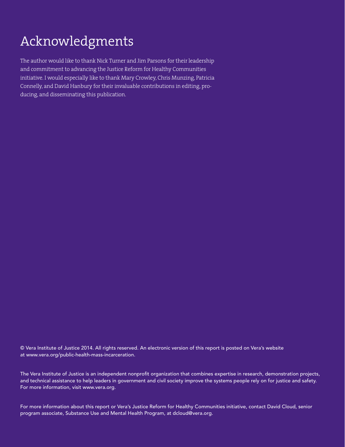# Acknowledgments

The author would like to thank Nick Turner and Jim Parsons for their leadership and commitment to advancing the Justice Reform for Healthy Communities initiative. I would especially like to thank Mary Crowley, Chris Munzing, Patricia Connelly, and David Hanbury for their invaluable contributions in editing, producing, and disseminating this publication.

© Vera Institute of Justice 2014. All rights reserved. An electronic version of this report is posted on Vera's website at www.vera.org/public-health-mass-incarceration.

The Vera Institute of Justice is an independent nonprofit organization that combines expertise in research, demonstration projects, and technical assistance to help leaders in government and civil society improve the systems people rely on for justice and safety. For more information, visit www.vera.org.

For more information about this report or Vera's Justice Reform for Healthy Communities initiative, contact David Cloud, senior program associate, Substance Use and Mental Health Program, at dcloud@vera.org.